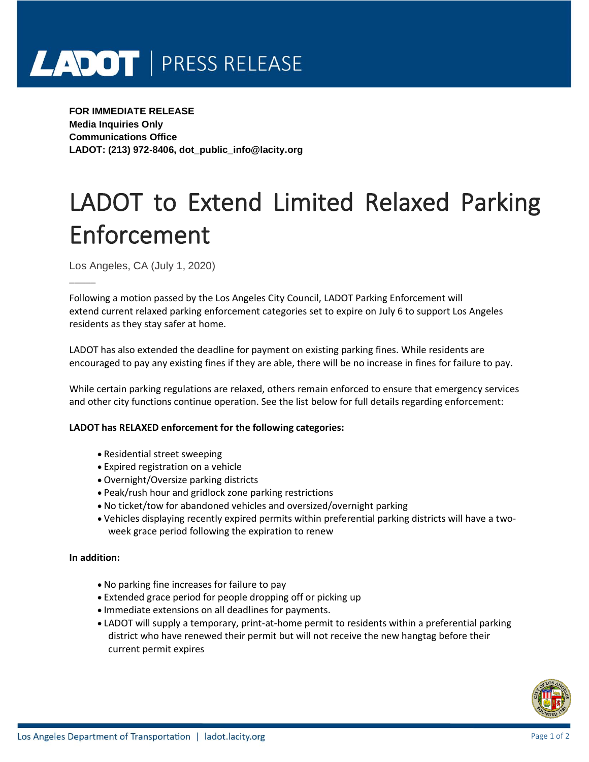# LADOT | PRESS RELEASE

**FOR IMMEDIATE RELEASE Media Inquiries Only Communications Office LADOT: (213) 972-8406, dot\_public\_info@lacity.org**

# LADOT to Extend Limited Relaxed Parking Enforcement

Los Angeles, CA (July 1, 2020)

\_\_\_\_\_

Following a motion passed by the Los Angeles City Council, LADOT Parking Enforcement will extend current relaxed parking enforcement categories set to expire on July 6 to support Los Angeles residents as they stay safer at home.

LADOT has also extended the deadline for payment on existing parking fines. While residents are encouraged to pay any existing fines if they are able, there will be no increase in fines for failure to pay.

While certain parking regulations are relaxed, others remain enforced to ensure that emergency services and other city functions continue operation. See the list below for full details regarding enforcement:

## **LADOT has RELAXED enforcement for the following categories:**

- Residential street sweeping
- Expired registration on a vehicle
- Overnight/Oversize parking districts
- Peak/rush hour and gridlock zone parking restrictions
- No ticket/tow for abandoned vehicles and oversized/overnight parking
- Vehicles displaying recently expired permits within preferential parking districts will have a twoweek grace period following the expiration to renew

#### **In addition:**

- No parking fine increases for failure to pay
- Extended grace period for people dropping off or picking up
- Immediate extensions on all deadlines for payments.
- LADOT will supply a temporary, print-at-home permit to residents within a preferential parking district who have renewed their permit but will not receive the new hangtag before their current permit expires